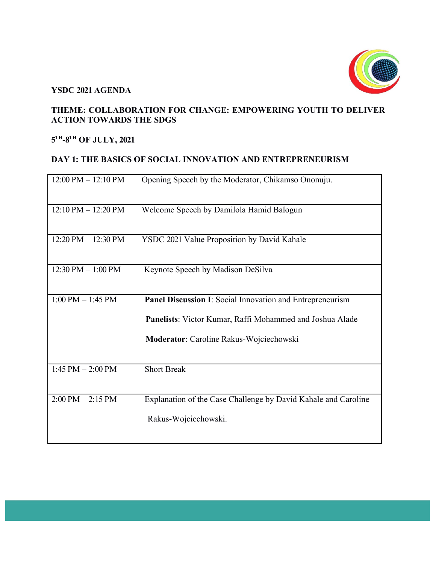

#### **YSDC 2021 AGENDA**

### **THEME: COLLABORATION FOR CHANGE: EMPOWERING YOUTH TO DELIVER ACTION TOWARDS THE SDGS**

# **5TH-8TH OF JULY, 2021**

#### **DAY 1: THE BASICS OF SOCIAL INNOVATION AND ENTREPRENEURISM**

| 12:00 PM - 12:10 PM                  | Opening Speech by the Moderator, Chikamso Ononuju.             |
|--------------------------------------|----------------------------------------------------------------|
| $12:10$ PM $- 12:20$ PM              | Welcome Speech by Damilola Hamid Balogun                       |
| 12:20 PM - 12:30 PM                  | YSDC 2021 Value Proposition by David Kahale                    |
| $12:30 \text{ PM} - 1:00 \text{ PM}$ | Keynote Speech by Madison DeSilva                              |
| $1:00$ PM $- 1:45$ PM                | Panel Discussion I: Social Innovation and Entrepreneurism      |
|                                      | Panelists: Victor Kumar, Raffi Mohammed and Joshua Alade       |
|                                      | Moderator: Caroline Rakus-Wojciechowski                        |
| $1:45$ PM $- 2:00$ PM                | <b>Short Break</b>                                             |
| $2:00$ PM $-2:15$ PM                 | Explanation of the Case Challenge by David Kahale and Caroline |
|                                      | Rakus-Wojciechowski.                                           |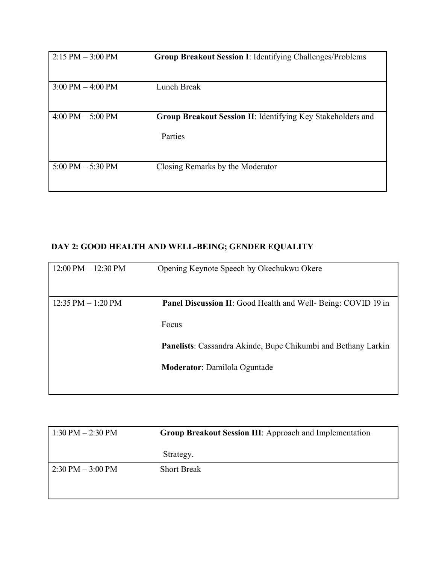| $2:15 PM - 3:00 PM$                 | <b>Group Breakout Session I: Identifying Challenges/Problems</b>       |
|-------------------------------------|------------------------------------------------------------------------|
| $3:00 \text{ PM} - 4:00 \text{ PM}$ | Lunch Break                                                            |
| $4:00 \text{ PM} - 5:00 \text{ PM}$ | Group Breakout Session II: Identifying Key Stakeholders and<br>Parties |
| $5:00 \text{ PM} - 5:30 \text{ PM}$ | Closing Remarks by the Moderator                                       |

## **DAY 2: GOOD HEALTH AND WELL-BEING; GENDER EQUALITY**

| $12:00 \text{ PM} - 12:30 \text{ PM}$ | Opening Keynote Speech by Okechukwu Okere                                     |
|---------------------------------------|-------------------------------------------------------------------------------|
| $12:35$ PM $-1:20$ PM                 | <b>Panel Discussion II:</b> Good Health and Well- Being: COVID 19 in<br>Focus |
|                                       | Panelists: Cassandra Akinde, Bupe Chikumbi and Bethany Larkin                 |
|                                       | <b>Moderator:</b> Damilola Oguntade                                           |

| $1:30 \text{ PM} - 2:30 \text{ PM}$ | <b>Group Breakout Session III:</b> Approach and Implementation |
|-------------------------------------|----------------------------------------------------------------|
|                                     | Strategy.                                                      |
| $2:30 \text{ PM} - 3:00 \text{ PM}$ | <b>Short Break</b>                                             |
|                                     |                                                                |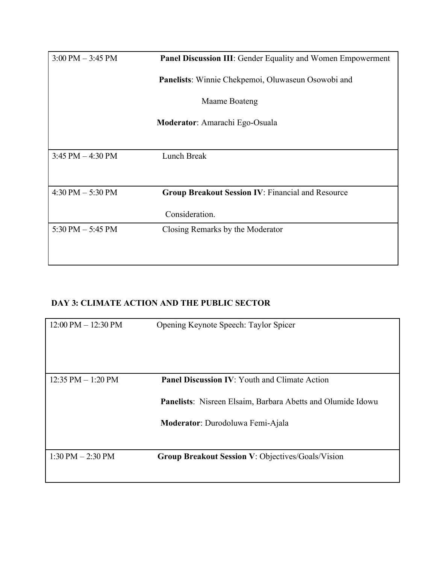| $3:00 \text{ PM} - 3:45 \text{ PM}$ | <b>Panel Discussion III:</b> Gender Equality and Women Empowerment |
|-------------------------------------|--------------------------------------------------------------------|
|                                     | Panelists: Winnie Chekpemoi, Oluwaseun Osowobi and                 |
|                                     | Maame Boateng                                                      |
|                                     | Moderator: Amarachi Ego-Osuala                                     |
|                                     |                                                                    |
| $3:45$ PM $-4:30$ PM                | Lunch Break                                                        |
|                                     |                                                                    |
| $4:30$ PM $-5:30$ PM                | <b>Group Breakout Session IV: Financial and Resource</b>           |
|                                     | Consideration.                                                     |
| $5:30$ PM $-5:45$ PM                | Closing Remarks by the Moderator                                   |
|                                     |                                                                    |
|                                     |                                                                    |

## **DAY 3: CLIMATE ACTION AND THE PUBLIC SECTOR**

| $12:00 \text{ PM} - 12:30 \text{ PM}$ | Opening Keynote Speech: Taylor Spicer                                                                                                                          |
|---------------------------------------|----------------------------------------------------------------------------------------------------------------------------------------------------------------|
| 12:35 PM $-$ 1:20 PM                  | <b>Panel Discussion IV: Youth and Climate Action</b><br><b>Panelists:</b> Nisreen Elsaim, Barbara Abetts and Olumide Idowu<br>Moderator: Durodoluwa Femi-Ajala |
| $1:30$ PM $- 2:30$ PM                 | <b>Group Breakout Session V: Objectives/Goals/Vision</b>                                                                                                       |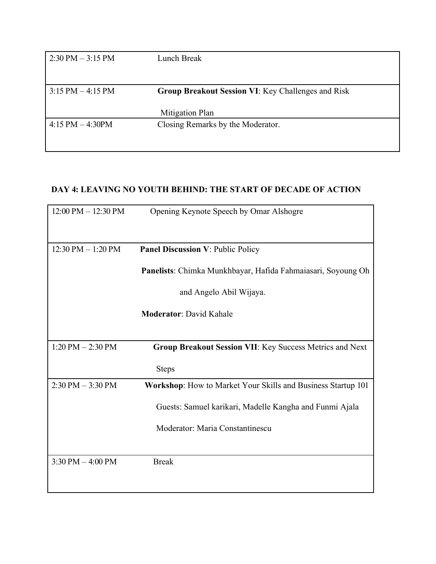| $2:30 \text{ PM} - 3:15 \text{ PM}$ | Lunch Break                                               |
|-------------------------------------|-----------------------------------------------------------|
|                                     |                                                           |
| $3:15 PM - 4:15 PM$                 | <b>Group Breakout Session VI: Key Challenges and Risk</b> |
|                                     | Mitigation Plan                                           |
| $4:15$ PM $-4:30$ PM                | Closing Remarks by the Moderator.                         |
|                                     |                                                           |

### **DAY 4: LEAVING NO YOUTH BEHIND: THE START OF DECADE OF ACTION**

| 12:00 PM - 12:30 PM                  | Opening Keynote Speech by Omar Alshogre                      |
|--------------------------------------|--------------------------------------------------------------|
|                                      |                                                              |
| $12:30 \text{ PM} - 1:20 \text{ PM}$ | <b>Panel Discussion V: Public Policy</b>                     |
|                                      | Panelists: Chimka Munkhbayar, Hafida Fahmaiasari, Soyoung Oh |
|                                      | and Angelo Abil Wijaya.                                      |
|                                      | <b>Moderator: David Kahale</b>                               |
|                                      |                                                              |
| $1:20$ PM $- 2:30$ PM                | Group Breakout Session VII: Key Success Metrics and Next     |
|                                      | <b>Steps</b>                                                 |
| $2:30$ PM $-3:30$ PM                 | Workshop: How to Market Your Skills and Business Startup 101 |
|                                      | Guests: Samuel karikari, Madelle Kangha and Funmi Ajala      |
|                                      | Moderator: Maria Constantinescu                              |
|                                      |                                                              |
| $3:30$ PM $-4:00$ PM                 | <b>Break</b>                                                 |
|                                      |                                                              |